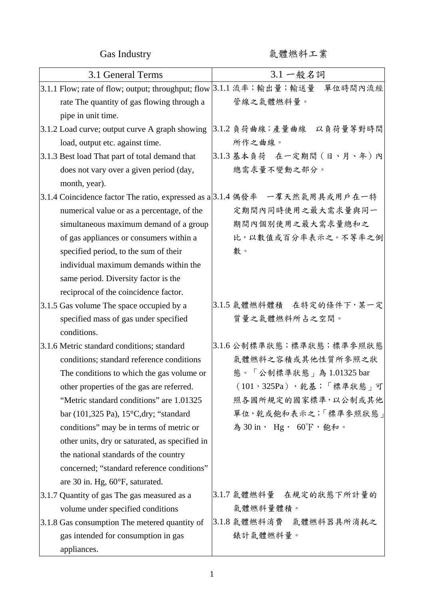Gas Industry 氣體燃料工業

| 3.1 General Terms                                                          | 3.1 一般名詞                                                                     |
|----------------------------------------------------------------------------|------------------------------------------------------------------------------|
|                                                                            | 3.1.1 Flow; rate of flow; output; throughput; flow 3.1.1 流率; 輸出量;輸送量 單位時間內流經 |
| rate The quantity of gas flowing through a                                 | 管線之氣體燃料量。                                                                    |
| pipe in unit time.                                                         |                                                                              |
| 3.1.2 Load curve; output curve A graph showing                             | 3.1.2 負荷曲線;產量曲線 以負荷量等對時間                                                     |
| load, output etc. against time.                                            | 所作之曲線。                                                                       |
| 3.1.3 Best load That part of total demand that                             | 3.1.3 基本負荷 在一定期間 (日、月、年) 內                                                   |
| does not vary over a given period (day,                                    | 總需求量不變動之部分。                                                                  |
| month, year).                                                              |                                                                              |
| 3.1.4 Coincidence factor The ratio, expressed as a 3.1.4 偶發率 一羣天然氣用具或用戶在一特 |                                                                              |
| numerical value or as a percentage, of the                                 | 定期間內同時使用之最大需求量與同一                                                            |
| simultaneous maximum demand of a group                                     | 期間內個別使用之最大需求量總和之                                                             |
| of gas appliances or consumers within a                                    | 比,以數值或百分率表示之。不等率之倒                                                           |
| specified period, to the sum of their                                      | 數。                                                                           |
| individual maximum demands within the                                      |                                                                              |
| same period. Diversity factor is the                                       |                                                                              |
| reciprocal of the coincidence factor.                                      |                                                                              |
| 3.1.5 Gas volume The space occupied by a                                   | 3.1.5 氣體燃料體積 在特定的條件下,某一定                                                     |
| specified mass of gas under specified                                      | 質量之氣體燃料所占之空間。                                                                |
| conditions.                                                                |                                                                              |
| 3.1.6 Metric standard conditions; standard                                 | 3.1.6 公制標準狀態;標準狀態;標準參照狀態                                                     |
| conditions; standard reference conditions                                  | 氣體燃料之容積或其他性質所參照之狀                                                            |
| The conditions to which the gas volume or                                  | 態。「公制標準狀態」為 1.01325 bar                                                      |
| other properties of the gas are referred.                                  | $(101, 325Pa)$ , 乾基; 「標準狀態」可                                                 |
| "Metric standard conditions" are 1.01325                                   | 照各國所規定的國家標準,以公制或其他                                                           |
| bar (101,325 Pa), $15^{\circ}$ C,dry; "standard                            | 單位,乾或飽和表示之;「標準參照狀態」                                                          |
| conditions" may be in terms of metric or                                   | 為 30 in, Hg, 60°F, 飽和。                                                       |
| other units, dry or saturated, as specified in                             |                                                                              |
| the national standards of the country                                      |                                                                              |
| concerned; "standard reference conditions"                                 |                                                                              |
| are 30 in. Hg, 60°F, saturated.                                            |                                                                              |
| 3.1.7 Quantity of gas The gas measured as a                                | 3.1.7 氣體燃料量 在規定的狀態下所計量的                                                      |
| volume under specified conditions                                          | 氣體燃料量體積。                                                                     |
| 3.1.8 Gas consumption The metered quantity of                              | 3.1.8 氣體燃料消費 氣體燃料器具所消耗之                                                      |
| gas intended for consumption in gas                                        | 錶計氣體燃料量。                                                                     |
| appliances.                                                                |                                                                              |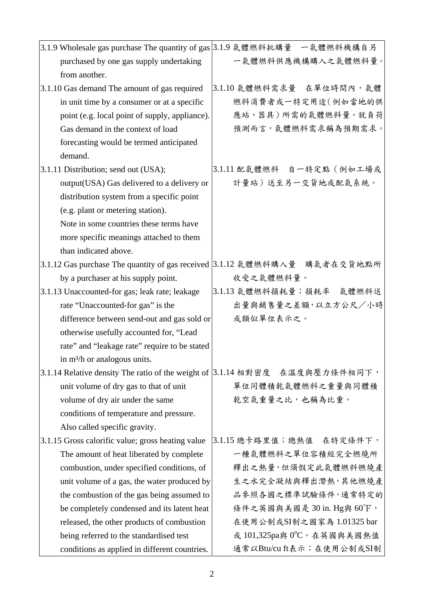| 3.1.9 Wholesale gas purchase The quantity of gas 3.1.9 氣體燃料批購量 一氣體燃料機構自另    |                            |
|-----------------------------------------------------------------------------|----------------------------|
| purchased by one gas supply undertaking                                     | 一氣體燃料供應機構購入之氣體燃料量。         |
| from another.                                                               |                            |
| 3.1.10 Gas demand The amount of gas required                                | 3.1.10 氣體燃料需求量 在單位時間內,氣體   |
| in unit time by a consumer or at a specific                                 | 燃料消費者或一特定用途(例如當地的供         |
| point (e.g. local point of supply, appliance).                              | 應站、器具)所需的氣體燃料量。就負荷         |
| Gas demand in the context of load                                           | 預測而言,氣體燃料需求稱為預期需求。         |
| forecasting would be termed anticipated                                     |                            |
| demand.                                                                     |                            |
| 3.1.11 Distribution; send out (USA);                                        | 3.1.11 配氣體燃料 自一特定點 (例如工場或  |
| output(USA) Gas delivered to a delivery or                                  | 計量站)送至另一交貨地或配氣系統。          |
| distribution system from a specific point                                   |                            |
| (e.g. plant or metering station).                                           |                            |
| Note in some countries these terms have                                     |                            |
| more specific meanings attached to them                                     |                            |
| than indicated above.                                                       |                            |
| 3.1.12 Gas purchase The quantity of gas received 3.1.12 氣體燃料購入量 購氣者在交貨地點所   |                            |
| by a purchaser at his supply point.                                         | 收受之氣體燃料量。                  |
| 3.1.13 Unaccounted-for gas; leak rate; leakage                              | 3.1.13 氣體燃料損耗量;損耗率 氣體燃料送   |
| rate "Unaccounted-for gas" is the                                           | 出量與銷售量之差額,以立方公尺/小時         |
| difference between send-out and gas sold or                                 | 或類似單位表示之。                  |
| otherwise usefully accounted for, "Lead                                     |                            |
| rate" and "leakage rate" require to be stated                               |                            |
| in $m^3/h$ or analogous units.                                              |                            |
| 3.1.14 Relative density The ratio of the weight of 3.1.14 相對密度 在溫度與壓力條件相同下, |                            |
| unit volume of dry gas to that of unit                                      | 單位同體積乾氣體燃料之重量與同體積          |
| volume of dry air under the same                                            | 乾空氣重量之比,也稱為比重。             |
| conditions of temperature and pressure.                                     |                            |
| Also called specific gravity.                                               |                            |
| 3.1.15 Gross calorific value; gross heating value                           | 3.1.15 總卡路里值;總熱值 在特定條件下,   |
| The amount of heat liberated by complete                                    | 一種氣體燃料之單位容積經完全燃燒所          |
| combustion, under specified conditions, of                                  | 釋出之熱量,但須假定此氣體燃料燃燒產         |
| unit volume of a gas, the water produced by                                 | 生之水完全凝結與釋出潛熱,其他燃燒產         |
| the combustion of the gas being assumed to                                  | 品参照各國之標準試驗條件,通常特定的         |
| be completely condensed and its latent heat                                 | 條件之英國與美國是 30 in. Hg與 60°F, |
| released, the other products of combustion                                  | 在使用公制或SI制之國家為 1.01325 bar  |
| being referred to the standardised test                                     | 或 101,325pa與 0°C。在英國與美國熱值  |
| conditions as applied in different countries.                               | 通常以Btu/cu ft表示;在使用公制或SI制   |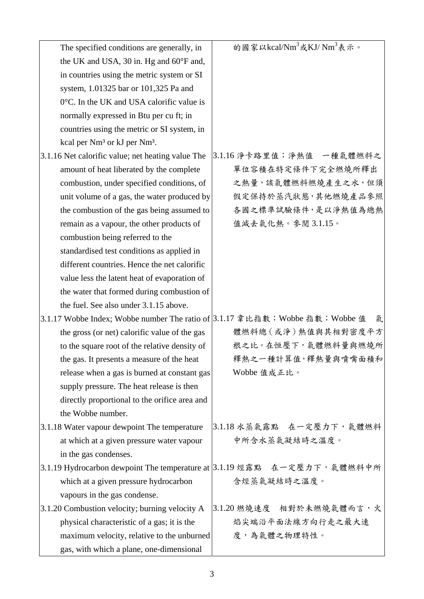| The specified conditions are generally, in                                   | 的國家以kcal/Nm <sup>3</sup> 或KJ/Nm <sup>3</sup> 表示。                         |
|------------------------------------------------------------------------------|--------------------------------------------------------------------------|
| the UK and USA, 30 in. Hg and 60°F and,                                      |                                                                          |
| in countries using the metric system or SI                                   |                                                                          |
| system, 1.01325 bar or 101,325 Pa and                                        |                                                                          |
| 0°C. In the UK and USA calorific value is                                    |                                                                          |
| normally expressed in Btu per cu ft; in                                      |                                                                          |
| countries using the metric or SI system, in                                  |                                                                          |
| kcal per Nm <sup>3</sup> or kJ per Nm <sup>3</sup> .                         |                                                                          |
| 3.1.16 Net calorific value; net heating value The                            | 3.1.16 淨卡路里值;淨熱值 一種氣體燃料之                                                 |
| amount of heat liberated by the complete                                     | 單位容積在特定條件下完全燃燒所釋出                                                        |
| combustion, under specified conditions, of                                   | 之熱量,該氣體燃料燃燒產生之水,但須                                                       |
| unit volume of a gas, the water produced by                                  | 假定保持於蒸汽狀態,其他燃燒產品參照                                                       |
| the combustion of the gas being assumed to                                   | 各國之標準試驗條件,是以淨熱值為總熱                                                       |
| remain as a vapour, the other products of                                    | 值減去氣化熱。參閱3.1.15。                                                         |
| combustion being referred to the                                             |                                                                          |
| standardised test conditions as applied in                                   |                                                                          |
| different countries. Hence the net calorific                                 |                                                                          |
| value less the latent heat of evaporation of                                 |                                                                          |
| the water that formed during combustion of                                   |                                                                          |
| the fuel. See also under 3.1.15 above.                                       |                                                                          |
| 3.1.17 Wobbe Index; Wobbe number The ratio of 3.1.17 韋比指數; Wobbe 指數; Wobbe 值 | 氣                                                                        |
| the gross (or net) calorific value of the gas                                | 體燃料總(或淨)熱值與其相對密度平方                                                       |
| to the square root of the relative density of                                | 根之比。在恒壓下,氣體燃料量與燃燒所                                                       |
| the gas. It presents a measure of the heat                                   | 釋熱之一種計算值,釋熱量與噴嘴面積和                                                       |
| release when a gas is burned at constant gas                                 | Wobbe 值成正比。                                                              |
| supply pressure. The heat release is then                                    |                                                                          |
| directly proportional to the orifice area and                                |                                                                          |
| the Wobbe number.                                                            |                                                                          |
| 3.1.18 Water vapour dewpoint The temperature                                 | 3.1.18 水蒸氣露點 在一定壓力下,氣體燃料                                                 |
| at which at a given pressure water vapour                                    | 中所含水蒸氣凝結時之溫度。                                                            |
| in the gas condenses.                                                        |                                                                          |
|                                                                              | 3.1.19 Hydrocarbon dewpoint The temperature at 3.1.19 烴露點 在一定壓力下, 氣體燃料中所 |
| which at a given pressure hydrocarbon                                        | 含烴蒸氣凝結時之溫度。                                                              |
| vapours in the gas condense.                                                 |                                                                          |
| 3.1.20 Combustion velocity; burning velocity A                               | 3.1.20 燃燒速度 相對於未燃燒氣體而言,火                                                 |
| physical characteristic of a gas; it is the                                  | 焰尖端沿平面法線方向行走之最大速                                                         |
| maximum velocity, relative to the unburned                                   | 度,為氣體之物理特性。                                                              |
| gas, with which a plane, one-dimensional                                     |                                                                          |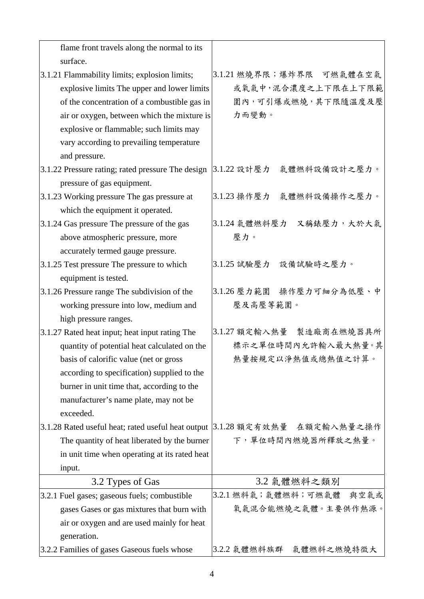| flame front travels along the normal to its        |                             |
|----------------------------------------------------|-----------------------------|
| surface.                                           |                             |
| 3.1.21 Flammability limits; explosion limits;      | 3.1.21 燃燒界限;爆炸界限 可燃氣體在空氣    |
| explosive limits The upper and lower limits        | 或氧氣中,混合濃度之上下限在上下限範          |
| of the concentration of a combustible gas in       | 圍內,可引爆或燃燒,其下限隨溫度及壓          |
| air or oxygen, between which the mixture is        | 力而變動。                       |
| explosive or flammable; such limits may            |                             |
| vary according to prevailing temperature           |                             |
| and pressure.                                      |                             |
| 3.1.22 Pressure rating; rated pressure The design  | 3.1.22 設計壓力<br>氣體燃料設備設計之壓力。 |
| pressure of gas equipment.                         |                             |
| 3.1.23 Working pressure The gas pressure at        | 3.1.23 操作壓力<br>氣體燃料設備操作之壓力。 |
| which the equipment it operated.                   |                             |
| 3.1.24 Gas pressure The pressure of the gas        | 3.1.24 氣體燃料壓力<br>又稱錶壓力,大於大氣 |
| above atmospheric pressure, more                   | 壓力。                         |
| accurately termed gauge pressure.                  |                             |
| 3.1.25 Test pressure The pressure to which         | 設備試驗時之壓力。<br>3.1.25 試驗壓力    |
| equipment is tested.                               |                             |
| 3.1.26 Pressure range The subdivision of the       | 3.1.26 壓力範圍 操作壓力可細分為低壓、中    |
| working pressure into low, medium and              | 壓及高壓等範圍。                    |
| high pressure ranges.                              |                             |
| 3.1.27 Rated heat input; heat input rating The     | 3.1.27 額定輸入熱量 製造廠商在燃燒器具所    |
| quantity of potential heat calculated on the       | 標示之單位時間內允許輸入最大熱量。其          |
| basis of calorific value (net or gross)            | 熱量按規定以淨熱值或總熱值之計算。           |
| according to specification) supplied to the        |                             |
| burner in unit time that, according to the         |                             |
| manufacturer's name plate, may not be              |                             |
| exceeded.                                          |                             |
| 3.1.28 Rated useful heat; rated useful heat output | 3.1.28 額定有效熱量 在額定輸入熱量之操作    |
| The quantity of heat liberated by the burner       | 下,單位時間內燃燒器所釋放之熱量。           |
| in unit time when operating at its rated heat      |                             |
| input.                                             |                             |
| 3.2 Types of Gas                                   | 3.2 氣體燃料之類別                 |
| 3.2.1 Fuel gases; gaseous fuels; combustible       | 與空氣或<br>3.2.1 燃料氣;氣體燃料;可燃氣體 |
| gases Gases or gas mixtures that burn with         | 氧氣混合能燃燒之氣體。主要供作熱源。          |
| air or oxygen and are used mainly for heat         |                             |
| generation.                                        |                             |
| 3.2.2 Families of gases Gaseous fuels whose        | 3.2.2 气體燃料族群 气体燃料之燃烧特徵大     |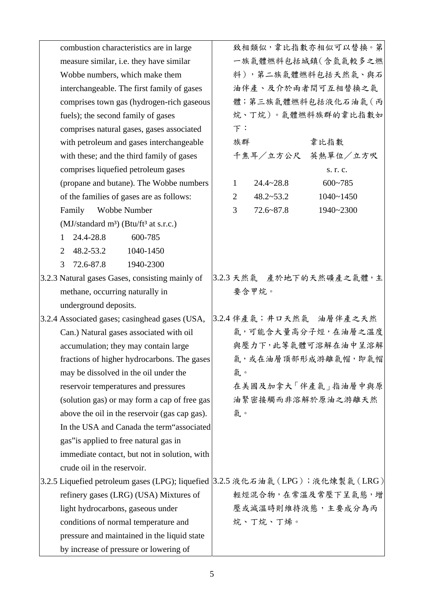| combustion characteristics are in large                                          |                |               | 致相類似,韋比指數亦相似可以替換。第       |
|----------------------------------------------------------------------------------|----------------|---------------|--------------------------|
| measure similar, i.e. they have similar                                          |                |               | 一族氣體燃料包括城鎮(含氫氣較多之燃       |
| Wobbe numbers, which make them                                                   |                |               | 料),第二族氣體燃料包括天然氣、與石       |
| interchangeable. The first family of gases                                       |                |               | 油伴產、及介於兩者間可互相替換之氣        |
| comprises town gas (hydrogen-rich gaseous                                        |                |               | 體;第三族氣體燃料包括液化石油氣(丙       |
| fuels); the second family of gases                                               |                |               | 烷、丁烷)。氣體燃料族群的韋比指數如       |
| comprises natural gases, gases associated                                        | F:             |               |                          |
| with petroleum and gases interchangeable                                         | 族群             |               | 韋比指數                     |
| with these; and the third family of gases                                        |                |               | 千焦耳/立方公尺 英熱單位/立方呎        |
| comprises liquefied petroleum gases                                              |                |               | s. r. c.                 |
| (propane and butane). The Wobbe numbers                                          | $\mathbf 1$    | $24.4 - 28.8$ | $600 - 785$              |
| of the families of gases are as follows:                                         | $\overline{2}$ | $48.2 - 53.2$ | $1040 - 1450$            |
| Wobbe Number<br>Family                                                           | 3              | $72.6 - 87.8$ | 1940~2300                |
| (MJ/standard m <sup>3</sup> ) (Btu/ft <sup>3</sup> at s.r.c.)                    |                |               |                          |
| 24.4-28.8<br>600-785<br>$\mathbf{1}$                                             |                |               |                          |
| 48.2-53.2<br>1040-1450<br>2                                                      |                |               |                          |
| 72.6-87.8<br>3<br>1940-2300                                                      |                |               |                          |
| 3.2.3 Natural gases Gases, consisting mainly of                                  |                |               | 3.2.3 天然氣 產於地下的天然礦產之氣體,主 |
| methane, occurring naturally in                                                  | 要含甲烷。          |               |                          |
| underground deposits.                                                            |                |               |                          |
| 3.2.4 Associated gases; casinghead gases (USA,                                   |                |               | 3.2.4 伴產氣;井口天然氣 油層伴產之天然  |
| Can.) Natural gases associated with oil                                          |                |               | 氣,可能含大量高分子烴,在油層之溫度       |
| accumulation; they may contain large                                             |                |               | 與壓力下,此等氣體可溶解在油中呈溶解       |
| fractions of higher hydrocarbons. The gases                                      |                |               | 氣,或在油層頂部形成游離氣帽,即氣帽       |
| may be dissolved in the oil under the                                            | 氣。             |               |                          |
| reservoir temperatures and pressures                                             |                |               | 在美國及加拿大「伴產氣」指油層中與原       |
| (solution gas) or may form a cap of free gas                                     |                |               | 油緊密接觸而非溶解於原油之游離天然        |
| above the oil in the reservoir (gas cap gas).                                    | 氣。             |               |                          |
| In the USA and Canada the term "associated"                                      |                |               |                          |
| gas" is applied to free natural gas in                                           |                |               |                          |
| immediate contact, but not in solution, with                                     |                |               |                          |
| crude oil in the reservoir.                                                      |                |               |                          |
| 3.2.5 Liquefied petroleum gases (LPG); liquefied  3.2.5 液化石油氣 (LPG); 液化煉製氣 (LRG) |                |               |                          |
| refinery gases (LRG) (USA) Mixtures of                                           |                |               | 輕烴混合物,在常溫及常壓下呈氣態,增       |
| light hydrocarbons, gaseous under                                                |                |               | 壓或減溫時則維持液態,主要成分為丙        |
| conditions of normal temperature and                                             |                | 烷、丁烷、丁烯。      |                          |
| pressure and maintained in the liquid state                                      |                |               |                          |
| by increase of pressure or lowering of                                           |                |               |                          |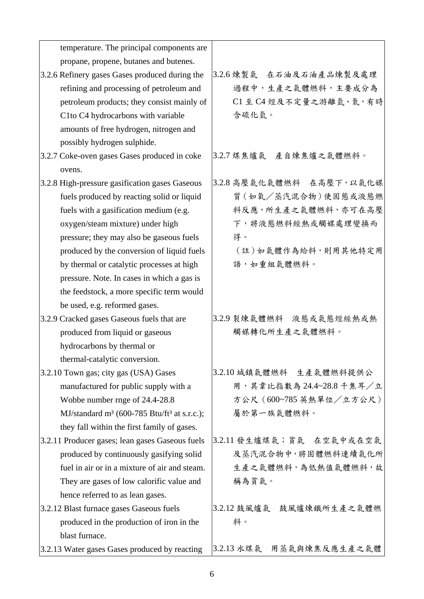| temperature. The principal components are                           |                             |
|---------------------------------------------------------------------|-----------------------------|
| propane, propene, butanes and butenes.                              |                             |
| 3.2.6 Refinery gases Gases produced during the                      | 3.2.6 煉製氣 在石油及石油產品煉製及處理     |
| refining and processing of petroleum and                            | 過程中,生產之氣體燃料,主要成分為           |
| petroleum products; they consist mainly of                          | C1至 C4 烴及不定量之游離氫、氮,有時       |
| C1to C4 hydrocarbons with variable                                  | 含硫化氫。                       |
| amounts of free hydrogen, nitrogen and                              |                             |
| possibly hydrogen sulphide.                                         |                             |
| 3.2.7 Coke-oven gases Gases produced in coke                        | 3.2.7 煤焦爐氣 產自煉焦爐之氣體燃料。      |
| ovens.                                                              |                             |
| 3.2.8 High-pressure gasification gases Gaseous                      | 3.2.8 高壓氣化氣體燃料 在高壓下,以氣化媒    |
| fuels produced by reacting solid or liquid                          | 質(如氧/蒸汽混合物)使固態或液態燃          |
| fuels with a gasification medium (e.g.                              | 料反應,所生產之氣體燃料,亦可在高壓          |
| oxygen/steam mixture) under high                                    | 下,將液態燃料經熱或觸媒處理變換而           |
| pressure; they may also be gaseous fuels                            | 得。                          |
| produced by the conversion of liquid fuels                          | (註)如氣體作為給料,則用其他特定用          |
| by thermal or catalytic processes at high                           | 語,如重組氣體燃料。                  |
| pressure. Note. In cases in which a gas is                          |                             |
| the feedstock, a more specific term would                           |                             |
| be used, e.g. reformed gases.                                       |                             |
| 3.2.9 Cracked gases Gaseous fuels that are                          | 3.2.9 裂煉氣體燃料 液態或氣態烴經熱或熱     |
| produced from liquid or gaseous                                     | 觸媒轉化所生產之氣體燃料。               |
| hydrocarbons by thermal or                                          |                             |
| thermal-catalytic conversion.                                       |                             |
| 3.2.10 Town gas; city gas (USA) Gases                               | 3.2.10 城鎮氣體燃料 生產氣體燃料提供公     |
| manufactured for public supply with a                               | 用,其韋比指數為 24.4~28.8 千焦耳/立    |
| Wobbe number rnge of 24.4-28.8                                      | 方公尺 (600~785 英熱單位/立方公尺)     |
| MJ/standard m <sup>3</sup> (600-785 Btu/ft <sup>3</sup> at s.r.c.); | 屬於第一族氣體燃料。                  |
| they fall within the first family of gases.                         |                             |
| 3.2.11 Producer gases; lean gases Gaseous fuels                     | 3.2.11 發生爐煤氣;貧氣 在空氣中或在空氣    |
| produced by continuously gasifying solid                            | 及蒸汽混合物中,將固體燃料連續氣化所          |
| fuel in air or in a mixture of air and steam.                       | 生產之氣體燃料,為低熱值氣體燃料,故          |
| They are gases of low calorific value and                           | 稱為貧氣。                       |
| hence referred to as lean gases.                                    |                             |
| 3.2.12 Blast furnace gases Gaseous fuels                            | 3.2.12 鼓風爐氣<br>鼓風爐煉鐵所生產之氣體燃 |
| produced in the production of iron in the                           | 料。                          |
| blast furnace.                                                      |                             |
| 3.2.13 Water gases Gases produced by reacting                       | 3.2.13 水煤氣 用蒸气與煉焦反應生產之氣體    |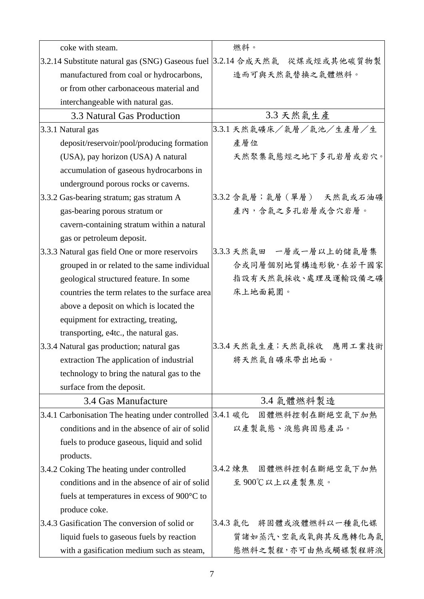| coke with steam.                                          | 燃料。                                                                       |
|-----------------------------------------------------------|---------------------------------------------------------------------------|
|                                                           | 3.2.14 Substitute natural gas (SNG) Gaseous fuel 3.2.14 合成天然氣 從煤或烴或其他碳質物製 |
| manufactured from coal or hydrocarbons,                   | 造而可與天然氣替換之氣體燃料。                                                           |
| or from other carbonaceous material and                   |                                                                           |
| interchangeable with natural gas.                         |                                                                           |
| 3.3 Natural Gas Production                                | 3.3 天然氣生產                                                                 |
| 3.3.1 Natural gas                                         | 3.3.1 天然氣礦床/氣層/氣池/生產層/生                                                   |
| deposit/reservoir/pool/producing formation                | 產層位                                                                       |
| (USA), pay horizon (USA) A natural                        | 天然聚集氣態烴之地下多孔岩層或岩穴。                                                        |
| accumulation of gaseous hydrocarbons in                   |                                                                           |
| underground porous rocks or caverns.                      |                                                                           |
| 3.3.2 Gas-bearing stratum; gas stratum A                  | 3.3.2 含氣層;氣層(單層) 天然氣或石油礦                                                  |
| gas-bearing porous stratum or                             | 產內,含氣之多孔岩層或含穴岩層。                                                          |
| cavern-containing stratum within a natural                |                                                                           |
| gas or petroleum deposit.                                 |                                                                           |
| 3.3.3 Natural gas field One or more reservoirs            | 3.3.3 天然氣田 一層或一層以上的儲氣層集                                                   |
| grouped in or related to the same individual              | 合或同層個別地質構造形貌,在若干國家                                                        |
| geological structured feature. In some                    | 指設有天然氣採收、處理及運輸設備之礦                                                        |
| countries the term relates to the surface area            | 床上地面範圍。                                                                   |
| above a deposit on which is located the                   |                                                                           |
| equipment for extracting, treating,                       |                                                                           |
| transporting, e4tc., the natural gas.                     |                                                                           |
| 3.3.4 Natural gas production; natural gas                 | 3.3.4 天然氣生產;天然氣採收 應用工業技術                                                  |
| extraction The application of industrial                  | 將天然氣自礦床帶出地面。                                                              |
| technology to bring the natural gas to the                |                                                                           |
| surface from the deposit.                                 |                                                                           |
| 3.4 Gas Manufacture                                       | 3.4 氣體燃料製造                                                                |
| 3.4.1 Carbonisation The heating under controlled 3.4.1 碳化 | 固體燃料控制在斷絕空氣下加熱                                                            |
| conditions and in the absence of air of solid             | 以產製氣態、液態與固態產品。                                                            |
| fuels to produce gaseous, liquid and solid                |                                                                           |
| products.                                                 |                                                                           |
| 3.4.2 Coking The heating under controlled                 | 3.4.2 煉焦 固體燃料控制在斷絕空氣下加熱                                                   |
| conditions and in the absence of air of solid             | 至900℃以上以產製焦炭。                                                             |
| fuels at temperatures in excess of $900^{\circ}$ C to     |                                                                           |
| produce coke.                                             |                                                                           |
| 3.4.3 Gasification The conversion of solid or             | 3.4.3 气化 将固體或液體燃料以一種氣化媒                                                   |
| liquid fuels to gaseous fuels by reaction                 | 質諸如蒸汽、空氣或氧與其反應轉化為氣                                                        |
| with a gasification medium such as steam,                 | 態燃料之製程,亦可由熱或觸媒製程將液                                                        |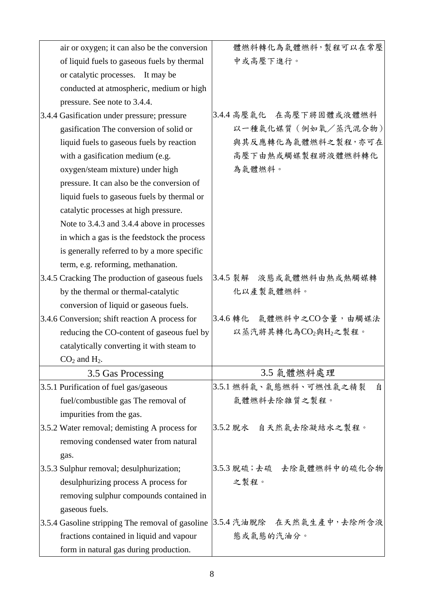| air or oxygen; it can also be the conversion     | 體燃料轉化為氣體燃料,製程可以在常壓          |
|--------------------------------------------------|-----------------------------|
| of liquid fuels to gaseous fuels by thermal      | 中或高壓下進行。                    |
| or catalytic processes. It may be                |                             |
| conducted at atmospheric, medium or high         |                             |
| pressure. See note to 3.4.4.                     |                             |
| 3.4.4 Gasification under pressure; pressure      | 3.4.4 高壓氣化 在高壓下將固體或液體燃料     |
| gasification The conversion of solid or          | 以一種氣化媒質 (例如氧/蒸汽混合物)         |
| liquid fuels to gaseous fuels by reaction        | 與其反應轉化為氣體燃料之製程,亦可在          |
| with a gasification medium (e.g.                 | 高壓下由熱或觸媒製程將液體燃料轉化           |
| oxygen/steam mixture) under high                 | 為氣體燃料。                      |
| pressure. It can also be the conversion of       |                             |
| liquid fuels to gaseous fuels by thermal or      |                             |
| catalytic processes at high pressure.            |                             |
| Note to 3.4.3 and 3.4.4 above in processes       |                             |
| in which a gas is the feedstock the process      |                             |
| is generally referred to by a more specific      |                             |
| term, e.g. reforming, methanation.               |                             |
| 3.4.5 Cracking The production of gaseous fuels   | 3.4.5 裂解 液態或氣體燃料由熱或熱觸媒轉     |
| by the thermal or thermal-catalytic              | 化以產製氣體燃料。                   |
| conversion of liquid or gaseous fuels.           |                             |
| 3.4.6 Conversion; shift reaction A process for   | 3.4.6 轉化 氣體燃料中之CO含量,由觸媒法    |
| reducing the CO-content of gaseous fuel by       | 以蒸汽將其轉化為CO2與H2之製程。          |
| catalytically converting it with steam to        |                             |
| $CO2$ and $H2$ .                                 |                             |
| 3.5 Gas Processing                               | 3.5 氣體燃料處理                  |
| 3.5.1 Purification of fuel gas/gaseous           | 3.5.1 燃料氣、氣態燃料、可燃性氣之精裂<br>自 |
| fuel/combustible gas The removal of              | 氣體燃料去除雜質之製程。                |
| impurities from the gas.                         |                             |
| 3.5.2 Water removal; demisting A process for     | 3.5.2 脫水 自天然氣去除凝結水之製程。      |
| removing condensed water from natural            |                             |
| gas.                                             |                             |
| 3.5.3 Sulphur removal; desulphurization;         | 3.5.3 脱硫;去硫 去除氣體燃料中的硫化合物    |
| desulphurizing process A process for             | 之製程。                        |
| removing sulphur compounds contained in          |                             |
| gaseous fuels.                                   |                             |
| 3.5.4 Gasoline stripping The removal of gasoline | 3.5.4 汽油脫除 在天然氣生產中,去除所含液    |
| fractions contained in liquid and vapour         | 態或氣態的汽油分。                   |
| form in natural gas during production.           |                             |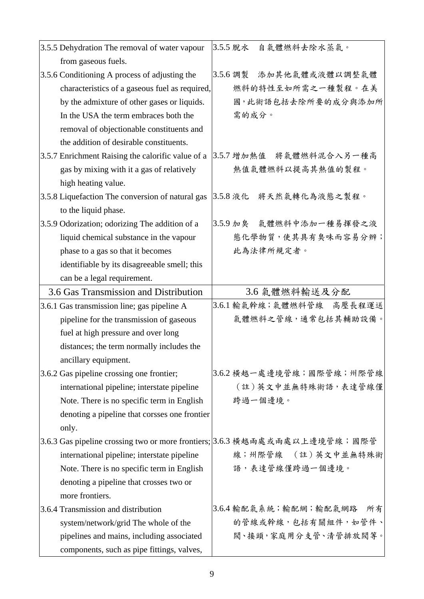| 3.5.5 Dehydration The removal of water vapour                               | 3.5.5 脱水<br>自氣體燃料去除水蒸氣。     |
|-----------------------------------------------------------------------------|-----------------------------|
| from gaseous fuels.                                                         |                             |
| 3.5.6 Conditioning A process of adjusting the                               | 添加其他氣體或液體以調整氣體<br>3.5.6 調製  |
| characteristics of a gaseous fuel as required,                              | 燃料的特性至如所需之一種製程。在美           |
| by the admixture of other gases or liquids.                                 | 國,此術語包括去除所要的成分與添加所          |
| In the USA the term embraces both the                                       | 需的成分。                       |
| removal of objectionable constituents and                                   |                             |
| the addition of desirable constituents.                                     |                             |
| 3.5.7 Enrichment Raising the calorific value of a                           | 3.5.7 增加熱值 將氣體燃料混合入另一種高     |
| gas by mixing with it a gas of relatively                                   | 熱值氣體燃料以提高其熱值的製程。            |
| high heating value.                                                         |                             |
| 3.5.8 Liquefaction The conversion of natural gas  3.5.8 液化   將天然氣轉化為液態之製程。  |                             |
| to the liquid phase.                                                        |                             |
| 3.5.9 Odorization; odorizing The addition of a                              | 3.5.9 加臭 氣體燃料中添加一種易揮發之液     |
| liquid chemical substance in the vapour                                     | 態化學物質,使其具有臭味而容易分辨;          |
| phase to a gas so that it becomes                                           | 此為法律所規定者。                   |
| identifiable by its disagreeable smell; this                                |                             |
| can be a legal requirement.                                                 |                             |
| 3.6 Gas Transmission and Distribution                                       | 3.6 氣體燃料輸送及分配               |
| 3.6.1 Gas transmission line; gas pipeline A                                 | 3.6.1 輸氣幹線;氣體燃料管線 高壓長程運送    |
| pipeline for the transmission of gaseous                                    | 氣體燃料之管線,通常包括其輔助設備。          |
| fuel at high pressure and over long                                         |                             |
| distances; the term normally includes the                                   |                             |
| ancillary equipment.                                                        |                             |
| 3.6.2 Gas pipeline crossing one frontier;                                   | 3.6.2 横越一處邊境管線;國際管線;州際管線    |
| international pipeline; interstate pipeline                                 | (註) 英文中並無特殊術語, 表達管線僅        |
| Note. There is no specific term in English                                  | 跨過一個邊境。                     |
| denoting a pipeline that corsses one frontier                               |                             |
| only.                                                                       |                             |
| 3.6.3 Gas pipeline crossing two or more frontiers; 3.6.3 横越兩處或兩處以上邊境管線; 國際管 |                             |
| international pipeline; interstate pipeline                                 | 線;州際管線 (註)英文中並無特殊術          |
| Note. There is no specific term in English                                  | 語,表達管線僅跨過一個邊境。              |
| denoting a pipeline that crosses two or                                     |                             |
| more frontiers.                                                             |                             |
| 3.6.4 Transmission and distribution                                         | 3.6.4 輸配氣系統;輸配網;輸配氣網路<br>所有 |
|                                                                             |                             |
| system/network/grid The whole of the                                        | 的管線或幹線,包括有關組件,如管件、          |
| pipelines and mains, including associated                                   | 閥、接頭,家庭用分支管、清管排放閥等。         |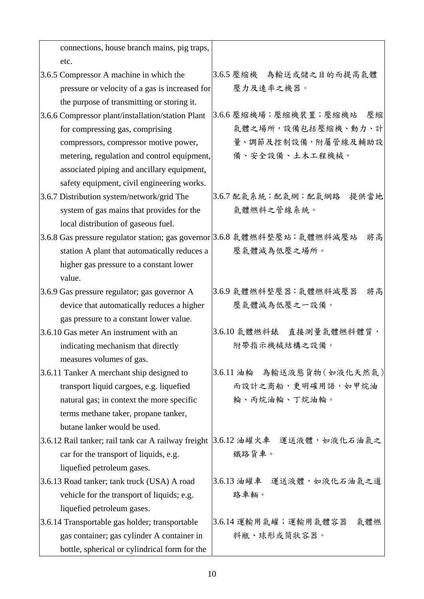| connections, house branch mains, pig traps,                               |                             |
|---------------------------------------------------------------------------|-----------------------------|
| etc.                                                                      |                             |
| 3.6.5 Compressor A machine in which the                                   | 3.6.5 壓縮機 為輸送或儲之目的而提高氣體     |
| pressure or velocity of a gas is increased for                            | 壓力及速率之機器。                   |
| the purpose of transmitting or storing it.                                |                             |
| 3.6.6 Compressor plant/installation/station Plant                         | 3.6.6 壓縮機場;壓縮機裝置;壓縮機站<br>壓縮 |
| for compressing gas, comprising                                           | 氣體之場所,設備包括壓縮機、動力、計          |
| compressors, compressor motive power,                                     | 量、調節及控制設備,附屬管線及輔助設          |
| metering, regulation and control equipment,                               | 備、安全設備、土木工程機械。              |
| associated piping and ancillary equipment,                                |                             |
| safety equipment, civil engineering works.                                |                             |
| 3.6.7 Distribution system/network/grid The                                | 3.6.7 配氣系統;配氣網;配氣網路<br>提供當地 |
| system of gas mains that provides for the                                 | 氣體燃料之管線系統。                  |
| local distribution of gaseous fuel.                                       |                             |
| 3.6.8 Gas pressure regulator station; gas governor 3.6.8 氣體燃料整壓站; 氣體燃料減壓站 | 將高                          |
| station A plant that automatically reduces a                              | 壓氣體減為低壓之場所。                 |
| higher gas pressure to a constant lower                                   |                             |
| value.                                                                    |                             |
| 3.6.9 Gas pressure regulator; gas governor A                              | 3.6.9 氣體燃料整壓器;氣體燃料減壓器<br>將高 |
| device that automatically reduces a higher                                | 壓氣體減為低壓之一設備。                |
| gas pressure to a constant lower value.                                   |                             |
| 3.6.10 Gas meter An instrument with an                                    | 3.6.10 氣體燃料錶 直接測量氣體燃料體質,    |
| indicating mechanism that directly                                        | 附帶指示機械結構之設備。                |
| measures volumes of gas.                                                  |                             |
| 3.6.11 Tanker A merchant ship designed to                                 | 3.6.11 油輪 為輸送液態貨物 (如液化天然氣)  |
| transport liquid cargoes, e.g. liquefied                                  | 而設計之商船,更明確用語,如甲烷油           |
| natural gas; in context the more specific                                 | 輪、丙烷油輪、丁烷油輪。                |
| terms methane taker, propane tanker,                                      |                             |
| butane lanker would be used.                                              |                             |
| 3.6.12 Rail tanker; rail tank car A railway freight                       | [3.6.12 油罐火車 運送液體, 如液化石油氣之  |
| car for the transport of liquids, e.g.                                    | 鐵路貨車。                       |
| liquefied petroleum gases.                                                |                             |
| 3.6.13 Road tanker; tank truck (USA) A road                               | 3.6.13 油罐車 運送液體, 如液化石油氣之道   |
| vehicle for the transport of liquids; e.g.                                | 路車輛。                        |
| liquefied petroleum gases.                                                |                             |
| 3.6.14 Transportable gas holder; transportable                            | 3.6.14 運輸用氣罐;運輸用氣體容器<br>氣體燃 |
| gas container; gas cylinder A container in                                | 料瓶、球形或筒狀容器。                 |
| bottle, spherical or cylindrical form for the                             |                             |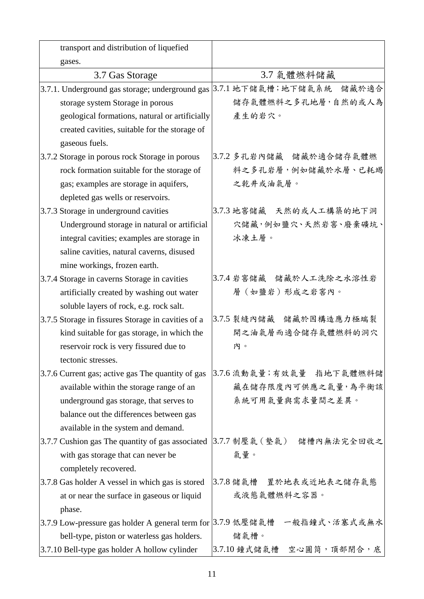| transport and distribution of liquefied                             |                                                                            |
|---------------------------------------------------------------------|----------------------------------------------------------------------------|
| gases.                                                              |                                                                            |
| 3.7 Gas Storage                                                     | 3.7 氣體燃料儲藏                                                                 |
| 3.7.1. Underground gas storage; underground gas 3.7.1 地下儲氣槽; 地下儲氣系統 | 儲藏於適合                                                                      |
| storage system Storage in porous                                    | 儲存氣體燃料之多孔地層,自然的或人為                                                         |
| geological formations, natural or artificially                      | 產生的岩穴。                                                                     |
| created cavities, suitable for the storage of                       |                                                                            |
| gaseous fuels.                                                      |                                                                            |
| 3.7.2 Storage in porous rock Storage in porous                      | 3.7.2 多孔岩內儲藏 储藏於適合儲存氣體燃                                                    |
| rock formation suitable for the storage of                          | 料之多孔岩層,例如儲藏於水層、已耗竭                                                         |
| gas; examples are storage in aquifers,                              | 之乾井或油氣層。                                                                   |
| depleted gas wells or reservoirs.                                   |                                                                            |
| 3.7.3 Storage in underground cavities                               | 3.7.3 地窖儲藏 天然的或人工構築的地下洞                                                    |
| Underground storage in natural or artificial                        | 穴儲藏,例如鹽穴、天然岩窖、廢棄礦坑、                                                        |
| integral cavities; examples are storage in                          | 冰凍土層。                                                                      |
| saline cavities, natural caverns, disused                           |                                                                            |
| mine workings, frozen earth.                                        |                                                                            |
| 3.7.4 Storage in caverns Storage in cavities                        | 3.7.4 岩窖儲藏 储藏於人工洗除之水溶性岩                                                    |
| artificially created by washing out water                           | 層(如鹽岩)形成之岩窖內。                                                              |
| soluble layers of rock, e.g. rock salt.                             |                                                                            |
| 3.7.5 Storage in fissures Storage in cavities of a                  | 3.7.5 裂縫內儲藏 儲藏於因構造應力極端裂                                                    |
| kind suitable for gas storage, in which the                         | 開之油氣層而適合儲存氣體燃料的洞穴                                                          |
| reservoir rock is very fissured due to                              | 内。                                                                         |
| tectonic stresses.                                                  |                                                                            |
| 3.7.6 Current gas; active gas The quantity of gas                   | 3.7.6 流動氣量;有效氣量 指地下氣體燃料儲                                                   |
| available within the storage range of an                            | 藏在儲存限度內可供應之氣量,為平衡該                                                         |
| underground gas storage, that serves to                             | 系統可用氣量與需求量間之差異。                                                            |
| balance out the differences between gas                             |                                                                            |
| available in the system and demand.                                 |                                                                            |
| 3.7.7 Cushion gas The quantity of gas associated                    | 3.7.7 制壓氣(墊氣)<br>儲槽內無法完全回收之                                                |
| with gas storage that can never be                                  | 氣量。                                                                        |
| completely recovered.                                               |                                                                            |
| 3.7.8 Gas holder A vessel in which gas is stored                    | 3.7.8 储氣槽 置於地表或近地表之儲存氣態                                                    |
| at or near the surface in gaseous or liquid                         | 或液態氣體燃料之容器。                                                                |
| phase.                                                              |                                                                            |
|                                                                     | 3.7.9 Low-pressure gas holder A general term for  3.7.9 低壓儲氣槽 一般指鐘式、活塞式或無水 |
| bell-type, piston or waterless gas holders.                         | 儲氣槽。                                                                       |
| 3.7.10 Bell-type gas holder A hollow cylinder                       | 3.7.10 鐘式儲氣槽 空心圓筒,頂部閉合,底                                                   |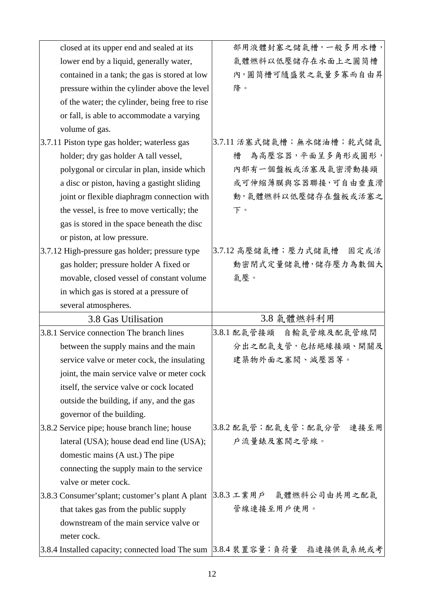| closed at its upper end and sealed at its        | 部用液體封塞之儲氣槽,一般多用水槽,          |
|--------------------------------------------------|-----------------------------|
| lower end by a liquid, generally water,          | 氣體燃料以低壓儲存在水面上之圓筒槽           |
| contained in a tank; the gas is stored at low    | 內,圓筒槽可隨盛裝之氣量多寡而自由昇          |
| pressure within the cylinder above the level     | 降。                          |
| of the water; the cylinder, being free to rise   |                             |
| or fall, is able to accommodate a varying        |                             |
| volume of gas.                                   |                             |
| 3.7.11 Piston type gas holder; waterless gas     | 3.7.11 活塞式儲氣槽;無水儲油槽;乾式儲氣    |
| holder; dry gas holder A tall vessel,            | 為高壓容器,平面呈多角形或圓形,<br>槽       |
| polygonal or circular in plan, inside which      | 內部有一個盤板或活塞及氣密滑動接頭           |
| a disc or piston, having a gastight sliding      | 或可伸缩薄膜與容器聯接,可自由垂直滑          |
| joint or flexible diaphragm connection with      | 動,氣體燃料以低壓儲存在盤板或活塞之          |
| the vessel, is free to move vertically; the      | 下。                          |
| gas is stored in the space beneath the disc      |                             |
| or piston, at low pressure.                      |                             |
| 3.7.12 High-pressure gas holder; pressure type   | 3.7.12 高壓儲氣槽;壓力式儲氣槽<br>固定或活 |
| gas holder; pressure holder A fixed or           | 動密閉式定量儲氣槽,儲存壓力為數個大          |
| movable, closed vessel of constant volume        | 氣壓。                         |
| in which gas is stored at a pressure of          |                             |
| several atmospheres.                             |                             |
| 3.8 Gas Utilisation                              | 3.8 氣體燃料利用                  |
| 3.8.1 Service connection The branch lines        | 3.8.1 配氣管接頭 自輸氣管線及配氣管線間     |
| between the supply mains and the main            | 分出之配氣支管,包括絕緣接頭、開關及          |
| service valve or meter cock, the insulating      |                             |
|                                                  | 建築物外面之塞閥、減壓器等。              |
| joint, the main service valve or meter cock      |                             |
| itself, the service valve or cock located        |                             |
| outside the building, if any, and the gas        |                             |
| governor of the building.                        |                             |
| 3.8.2 Service pipe; house branch line; house     | 3.8.2 配氣管;配氣支管;配氣分管 連接至用    |
| lateral (USA); house dead end line (USA);        | 戶流量錶及塞閥之管線。                 |
| domestic mains (A ust.) The pipe                 |                             |
| connecting the supply main to the service        |                             |
| valve or meter cock.                             |                             |
| 3.8.3 Consumer's plant; customer's plant A plant | 3.8.3 工業用戶 氣體燃料公司由共用之配氣     |
| that takes gas from the public supply            | 管線連接至用戶使用。                  |
| downstream of the main service valve or          |                             |
| meter cock.                                      |                             |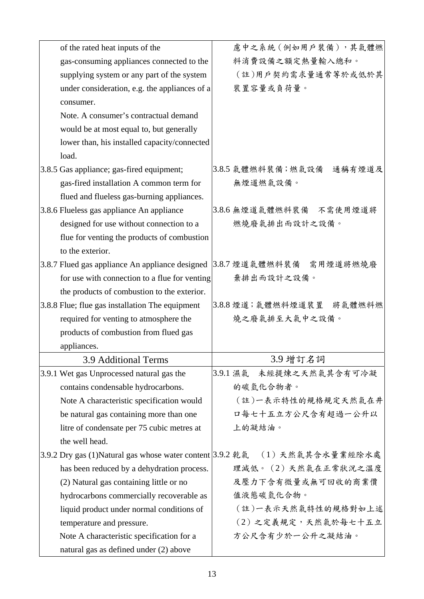| of the rated heat inputs of the                                            | 慮中之系統(例如用戶裝備),其氣體燃          |
|----------------------------------------------------------------------------|-----------------------------|
| gas-consuming appliances connected to the                                  | 料消費設備之額定熱量輸入總和。             |
| supplying system or any part of the system                                 | (註)用戶契約需求量通常等於或低於其          |
| under consideration, e.g. the appliances of a                              | 裝置容量或負荷量。                   |
| consumer.                                                                  |                             |
| Note. A consumer's contractual demand                                      |                             |
| would be at most equal to, but generally                                   |                             |
| lower than, his installed capacity/connected                               |                             |
| load.                                                                      |                             |
| 3.8.5 Gas appliance; gas-fired equipment;                                  | 3.8.5 氣體燃料裝備;燃氣設備<br>通稱有煙道及 |
| gas-fired installation A common term for                                   | 無煙道燃氣設備。                    |
| flued and flueless gas-burning appliances.                                 |                             |
| 3.8.6 Flueless gas appliance An appliance                                  | 3.8.6 無煙道氣體燃料裝備 不需使用煙道將     |
| designed for use without connection to a                                   | 燃燒廢氣排出而設計之設備。               |
| flue for venting the products of combustion                                |                             |
| to the exterior.                                                           |                             |
| 3.8.7 Flued gas appliance An appliance designed                            | 3.8.7 煙道氣體燃料裝備 需用煙道將燃燒廢     |
| for use with connection to a flue for venting                              | 棄排出而設計之設備。                  |
| the products of combustion to the exterior.                                |                             |
| 3.8.8 Flue; flue gas installation The equipment                            | 3.8.8 煙道;氣體燃料煙道裝置 將氣體燃料燃    |
| required for venting to atmosphere the                                     | 燒之廢氣排至大氣中之設備。               |
| products of combustion from flued gas                                      |                             |
| appliances.                                                                |                             |
| <b>3.9 Additional Terms</b>                                                | 3.9 增訂名詞                    |
| 3.9.1 Wet gas Unprocessed natural gas the                                  | 未經提煉之天然氣其含有可冷凝<br>3.9.1 濕氣  |
| contains condensable hydrocarbons.                                         | 的碳氫化合物者。                    |
| Note A characteristic specification would                                  | (註)一表示特性的規格規定天然氣在井          |
| be natural gas containing more than one                                    | 口每七十五立方公尺含有超過一公升以           |
| litre of condensate per 75 cubic metres at                                 | 上的凝結油。                      |
| the well head.                                                             |                             |
| 3.9.2 Dry gas (1)Natural gas whose water content 3.9.2 乾氣 (1) 天然氣其含水量業經除水處 |                             |
| has been reduced by a dehydration process.                                 | 理減低。 (2) 天然氣在正常狀況之溫度        |
| (2) Natural gas containing little or no                                    | 及壓力下含有微量或無可回收的商業價           |
| hydrocarbons commercially recoverable as                                   | 值液態碳氫化合物。                   |
| liquid product under normal conditions of                                  | (註)一表示天然氣特性的規格對如上述          |
| temperature and pressure.                                                  | (2) 之定義規定,天然氣於每七十五立         |
| Note A characteristic specification for a                                  | 方公尺含有少於一公升之凝結油。             |
| natural gas as defined under (2) above                                     |                             |